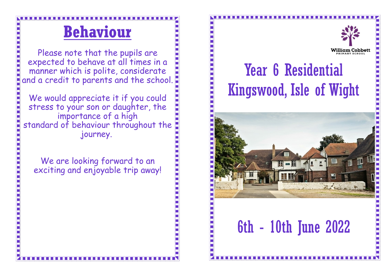### **Behaviour**

Please note that the pupils are expected to behave at all times in a manner which is polite, considerate and a credit to parents and the school.

We would appreciate it if you could stress to your son or daughter, the importance of a high standard of behaviour throughout the journey.

We are looking forward to an exciting and enjoyable trip away!

### Year 6 Residential Kingswood, Isle of Wight



6th - 10th June 2022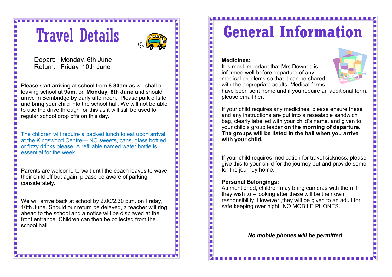## Travel Details



Depart: Monday, 6th June Return: Friday, 10th June

Please start arriving at school from **8.30am** as we shall be leaving school at **9am**, on **Monday, 6th June** and should arrive in Bembridge by early afternoon. Please park offsite and bring your child into the school hall. We will not be able to use the drive through for this as it will still be used for regular school drop offs on this day.

The children will require a packed lunch to eat upon arrival at the Kingswood Centre— NO sweets, cans, glass bottled or fizzy drinks please. A refillable named water bottle is essential for the week.

Parents are welcome to wait until the coach leaves to wave their child off but again, please be aware of parking considerately.

We will arrive back at school by 2.00/2.30 p.m. on Friday, 10th June. Should our return be delayed, a teacher will ring ahead to the school and a notice will be displayed at the front entrance. Children can then be collected from the school hall.

## **General Information**

#### **Medicines:**

It is most important that Mrs Downes is informed well before departure of any medical problems so that it can be shared with the appropriate adults. Medical forms



have been sent home and if you require an additional form, please email her.

If your child requires any medicines, please ensure these and any instructions are put into a resealable sandwich bag, clearly labelled with your child's name, and given to your child's group leader **on the morning of departure. The groups will be listed in the hall when you arrive with your child.** 

If your child requires medication for travel sickness, please give this to your child for the journey out and provide some for the journey home.

#### **Personal Belongings:**

As mentioned, children may bring cameras with them if they wish to – looking after these will be their own responsibility. However ,they will be given to an adult for safe keeping over night. NO MOBILE PHONES.

*No mobile phones will be permitted* 

. . . . . . . . . . . . . . .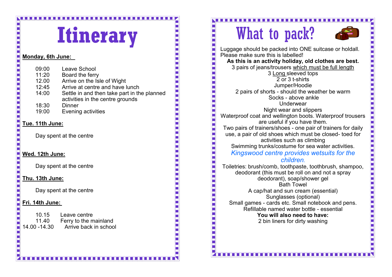# **Itinerary**

#### **Monday, 6th June:**

| 09:00 | Leave School                                                                    |
|-------|---------------------------------------------------------------------------------|
| 11:20 | Board the ferry                                                                 |
| 12.00 | Arrive on the Isle of Wight                                                     |
| 12:45 | Arrive at centre and have lunch                                                 |
| 14:00 | Settle in and then take part in the planned<br>activities in the centre grounds |
| 18:30 | <b>Dinner</b>                                                                   |
| 19:00 | Evening activities                                                              |
|       |                                                                                 |

#### **Tue. 11th June:**

Day spent at the centre

#### **Wed. 12th June:**

Day spent at the centre

#### **Thu. 13th June:**

Day spent at the centre

#### **Fri. 14th June:**

10.15 Leave centre<br>11.40 Ferry to the n Ferry to the mainland 14.00 -14.30 Arrive back in school

#### . . . . . . . . . . . . . . . . . . . .

What to pack?



Luggage should be packed into ONE suitcase or holdall. Please make sure this is labelled! **As this is an activity holiday, old clothes are best.** 3 pairs of jeans/trousers which must be full length 3 Long sleeved tops 2 or 3 t-shirts Jumper/Hoodie 2 pairs of shorts - should the weather be warm Socks - above ankle Underwear Night wear and slippers Waterproof coat and wellington boots. Waterproof trousers are useful if you have them. Two pairs of trainers/shoes - one pair of trainers for daily use, a pair of old shoes which must be closed- toed for activities such as climbing Swimming trunks/costume for sea water activities. *Kingswood centre provides wetsuits for the children.* Toiletries: brush/comb, toothpaste, toothbrush, shampoo, deodorant (this must be roll on and not a spray deodorant), soap/shower gel Bath Towel A cap/hat and sun cream (essential) Sunglasses (optional) Small games - cards etc. Small notebook and pens. Refillable named water bottle - essential **You will also need to have:**

2 bin liners for dirty washing

. . . . . . . . . . . . . . . .